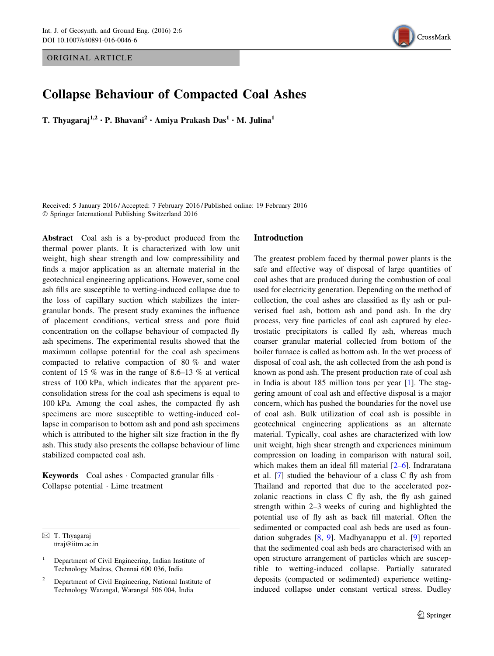ORIGINAL ARTICLE



# Collapse Behaviour of Compacted Coal Ashes

T. Thyagaraj<sup>1,2</sup> • P. Bhavani<sup>2</sup> • Amiya Prakash Das<sup>1</sup> • M. Julina<sup>1</sup>

Received: 5 January 2016 / Accepted: 7 February 2016 / Published online: 19 February 2016  $©$  Springer International Publishing Switzerland 2016

Abstract Coal ash is a by-product produced from the thermal power plants. It is characterized with low unit weight, high shear strength and low compressibility and finds a major application as an alternate material in the geotechnical engineering applications. However, some coal ash fills are susceptible to wetting-induced collapse due to the loss of capillary suction which stabilizes the intergranular bonds. The present study examines the influence of placement conditions, vertical stress and pore fluid concentration on the collapse behaviour of compacted fly ash specimens. The experimental results showed that the maximum collapse potential for the coal ash specimens compacted to relative compaction of 80 % and water content of 15 % was in the range of 8.6–13 % at vertical stress of 100 kPa, which indicates that the apparent preconsolidation stress for the coal ash specimens is equal to 100 kPa. Among the coal ashes, the compacted fly ash specimens are more susceptible to wetting-induced collapse in comparison to bottom ash and pond ash specimens which is attributed to the higher silt size fraction in the fly ash. This study also presents the collapse behaviour of lime stabilized compacted coal ash.

Keywords Coal ashes · Compacted granular fills · Collapse potential - Lime treatment

 $\boxtimes$  T. Thyagaraj ttraj@iitm.ac.in

# Introduction

The greatest problem faced by thermal power plants is the safe and effective way of disposal of large quantities of coal ashes that are produced during the combustion of coal used for electricity generation. Depending on the method of collection, the coal ashes are classified as fly ash or pulverised fuel ash, bottom ash and pond ash. In the dry process, very fine particles of coal ash captured by electrostatic precipitators is called fly ash, whereas much coarser granular material collected from bottom of the boiler furnace is called as bottom ash. In the wet process of disposal of coal ash, the ash collected from the ash pond is known as pond ash. The present production rate of coal ash in India is about 185 million tons per year [[1\]](#page-9-0). The staggering amount of coal ash and effective disposal is a major concern, which has pushed the boundaries for the novel use of coal ash. Bulk utilization of coal ash is possible in geotechnical engineering applications as an alternate material. Typically, coal ashes are characterized with low unit weight, high shear strength and experiences minimum compression on loading in comparison with natural soil, which makes them an ideal fill material  $[2-6]$ . Indraratana et al. [\[7](#page-9-0)] studied the behaviour of a class C fly ash from Thailand and reported that due to the accelerated pozzolanic reactions in class C fly ash, the fly ash gained strength within 2–3 weeks of curing and highlighted the potential use of fly ash as back fill material. Often the sedimented or compacted coal ash beds are used as foundation subgrades [[8](#page-9-0), [9](#page-9-0)]. Madhyanappu et al. [[9](#page-9-0)] reported that the sedimented coal ash beds are characterised with an open structure arrangement of particles which are susceptible to wetting-induced collapse. Partially saturated deposits (compacted or sedimented) experience wettinginduced collapse under constant vertical stress. Dudley

<sup>1</sup> Department of Civil Engineering, Indian Institute of Technology Madras, Chennai 600 036, India

<sup>2</sup> Department of Civil Engineering, National Institute of Technology Warangal, Warangal 506 004, India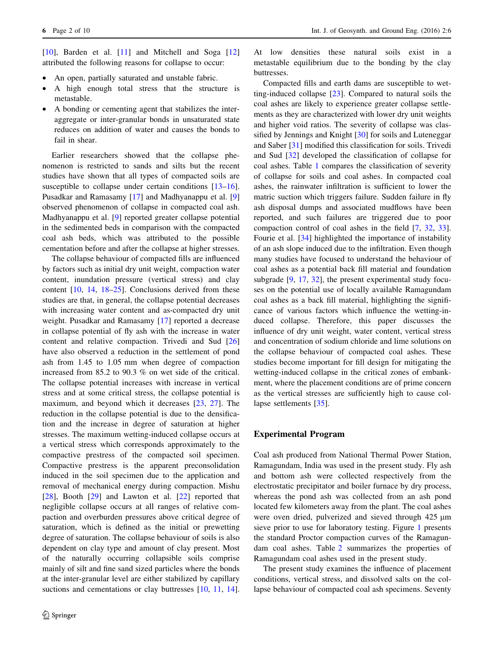[\[10](#page-9-0)], Barden et al. [[11\]](#page-9-0) and Mitchell and Soga [[12\]](#page-9-0) attributed the following reasons for collapse to occur:

- An open, partially saturated and unstable fabric.
- A high enough total stress that the structure is metastable.
- A bonding or cementing agent that stabilizes the interaggregate or inter-granular bonds in unsaturated state reduces on addition of water and causes the bonds to fail in shear.

Earlier researchers showed that the collapse phenomenon is restricted to sands and silts but the recent studies have shown that all types of compacted soils are susceptible to collapse under certain conditions [\[13–16](#page-9-0)]. Pusadkar and Ramasamy [\[17](#page-9-0)] and Madhyanappu et al. [[9\]](#page-9-0) observed phenomenon of collapse in compacted coal ash. Madhyanappu et al. [\[9](#page-9-0)] reported greater collapse potential in the sedimented beds in comparison with the compacted coal ash beds, which was attributed to the possible cementation before and after the collapse at higher stresses.

The collapse behaviour of compacted fills are influenced by factors such as initial dry unit weight, compaction water content, inundation pressure (vertical stress) and clay content [\[10](#page-9-0), [14,](#page-9-0) [18–25\]](#page-9-0). Conclusions derived from these studies are that, in general, the collapse potential decreases with increasing water content and as-compacted dry unit weight. Pusadkar and Ramasamy [\[17](#page-9-0)] reported a decrease in collapse potential of fly ash with the increase in water content and relative compaction. Trivedi and Sud [[26\]](#page-9-0) have also observed a reduction in the settlement of pond ash from 1.45 to 1.05 mm when degree of compaction increased from 85.2 to 90.3 % on wet side of the critical. The collapse potential increases with increase in vertical stress and at some critical stress, the collapse potential is maximum, and beyond which it decreases [\[23](#page-9-0), [27](#page-9-0)]. The reduction in the collapse potential is due to the densification and the increase in degree of saturation at higher stresses. The maximum wetting-induced collapse occurs at a vertical stress which corresponds approximately to the compactive prestress of the compacted soil specimen. Compactive prestress is the apparent preconsolidation induced in the soil specimen due to the application and removal of mechanical energy during compaction. Mishu [\[28](#page-9-0)], Booth [\[29](#page-9-0)] and Lawton et al. [\[22](#page-9-0)] reported that negligible collapse occurs at all ranges of relative compaction and overburden pressures above critical degree of saturation, which is defined as the initial or prewetting degree of saturation. The collapse behaviour of soils is also dependent on clay type and amount of clay present. Most of the naturally occurring collapsible soils comprise mainly of silt and fine sand sized particles where the bonds at the inter-granular level are either stabilized by capillary suctions and cementations or clay buttresses  $[10, 11, 14]$  $[10, 11, 14]$  $[10, 11, 14]$  $[10, 11, 14]$  $[10, 11, 14]$  $[10, 11, 14]$ . At low densities these natural soils exist in a metastable equilibrium due to the bonding by the clay buttresses.

Compacted fills and earth dams are susceptible to wetting-induced collapse [[23\]](#page-9-0). Compared to natural soils the coal ashes are likely to experience greater collapse settlements as they are characterized with lower dry unit weights and higher void ratios. The severity of collapse was classified by Jennings and Knight [[30\]](#page-9-0) for soils and Luteneggar and Saber [[31\]](#page-9-0) modified this classification for soils. Trivedi and Sud [[32\]](#page-9-0) developed the classification of collapse for coal ashes. Table [1](#page-2-0) compares the classification of severity of collapse for soils and coal ashes. In compacted coal ashes, the rainwater infiltration is sufficient to lower the matric suction which triggers failure. Sudden failure in fly ash disposal dumps and associated mudflows have been reported, and such failures are triggered due to poor compaction control of coal ashes in the field [[7,](#page-9-0) [32](#page-9-0), [33](#page-9-0)]. Fourie et al. [[34\]](#page-9-0) highlighted the importance of instability of an ash slope induced due to the infiltration. Even though many studies have focused to understand the behaviour of coal ashes as a potential back fill material and foundation subgrade [[9,](#page-9-0) [17,](#page-9-0) [32](#page-9-0)], the present experimental study focuses on the potential use of locally available Ramagundam coal ashes as a back fill material, highlighting the significance of various factors which influence the wetting-induced collapse. Therefore, this paper discusses the influence of dry unit weight, water content, vertical stress and concentration of sodium chloride and lime solutions on the collapse behaviour of compacted coal ashes. These studies become important for fill design for mitigating the wetting-induced collapse in the critical zones of embankment, where the placement conditions are of prime concern as the vertical stresses are sufficiently high to cause collapse settlements [[35\]](#page-9-0).

# Experimental Program

Coal ash produced from National Thermal Power Station, Ramagundam, India was used in the present study. Fly ash and bottom ash were collected respectively from the electrostatic precipitator and boiler furnace by dry process, whereas the pond ash was collected from an ash pond located few kilometers away from the plant. The coal ashes were oven dried, pulverized and sieved through 425  $\mu$ m sieve prior to use for laboratory testing. Figure [1](#page-2-0) presents the standard Proctor compaction curves of the Ramagundam coal ashes. Table [2](#page-2-0) summarizes the properties of Ramagundam coal ashes used in the present study.

The present study examines the influence of placement conditions, vertical stress, and dissolved salts on the collapse behaviour of compacted coal ash specimens. Seventy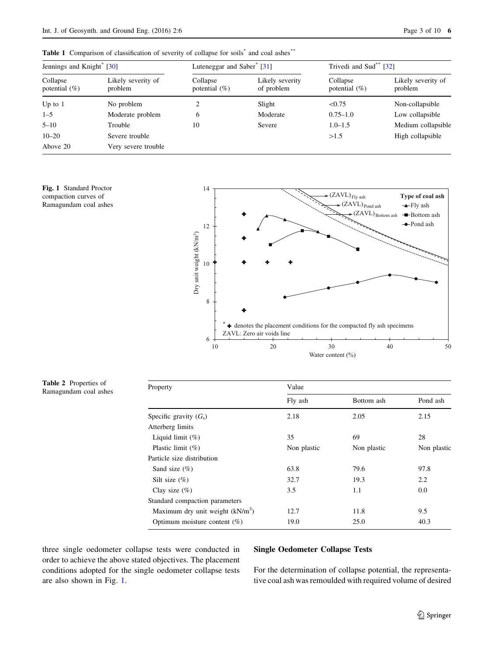<span id="page-2-0"></span>

|  |  |  | Table 1 Comparison of classification of severity of collapse for soils <sup>*</sup> and coal ashes <sup>*</sup> * |  |  |  |  |
|--|--|--|-------------------------------------------------------------------------------------------------------------------|--|--|--|--|
|--|--|--|-------------------------------------------------------------------------------------------------------------------|--|--|--|--|

| Jennings and Knight <sup>®</sup> [30] |                               | Luteneggar and Saber $\degree$ [31] |                               | Trivedi and Sud <sup>**</sup> [32] |                               |
|---------------------------------------|-------------------------------|-------------------------------------|-------------------------------|------------------------------------|-------------------------------|
| Collapse<br>potential $(\%)$          | Likely severity of<br>problem | Collapse<br>potential $(\%)$        | Likely severity<br>of problem | Collapse<br>potential $(\%)$       | Likely severity of<br>problem |
| Up to $1$                             | No problem                    | 2                                   | Slight                        | < 0.75                             | Non-collapsible               |
| $1 - 5$                               | Moderate problem              | 6                                   | Moderate                      | $0.75 - 1.0$                       | Low collapsible               |
| $5 - 10$                              | Trouble                       | 10                                  | Severe                        | $1.0 - 1.5$                        | Medium collapsible            |
| $10 - 20$                             | Severe trouble                |                                     |                               | >1.5                               | High collapsible              |
| Above 20                              | Very severe trouble           |                                     |                               |                                    |                               |

Fig. 1 Standard Proctor compaction curves of Ramagundam coal ashes



Table 2 Properties of Table 2 Properties of Property Values of Properties of Properties of Property Property Property Property Property Property Property Property Property Property Property Property Property Property Property Property Property

| Value       |             |             |  |  |
|-------------|-------------|-------------|--|--|
| Fly ash     | Bottom ash  | Pond ash    |  |  |
| 2.18        | 2.05        | 2.15        |  |  |
|             |             |             |  |  |
| 35          | 69          | 28          |  |  |
| Non plastic | Non plastic | Non plastic |  |  |
|             |             |             |  |  |
| 63.8        | 79.6        | 97.8        |  |  |
| 32.7        | 19.3        | 2.2         |  |  |
| 3.5         | 1.1         | 0.0         |  |  |
|             |             |             |  |  |
| 12.7        | 11.8        | 9.5         |  |  |
| 19.0        | 25.0        | 40.3        |  |  |
|             |             |             |  |  |

three single oedometer collapse tests were conducted in order to achieve the above stated objectives. The placement conditions adopted for the single oedometer collapse tests are also shown in Fig. 1.

# Single Oedometer Collapse Tests

For the determination of collapse potential, the representative coal ash was remoulded with required volume of desired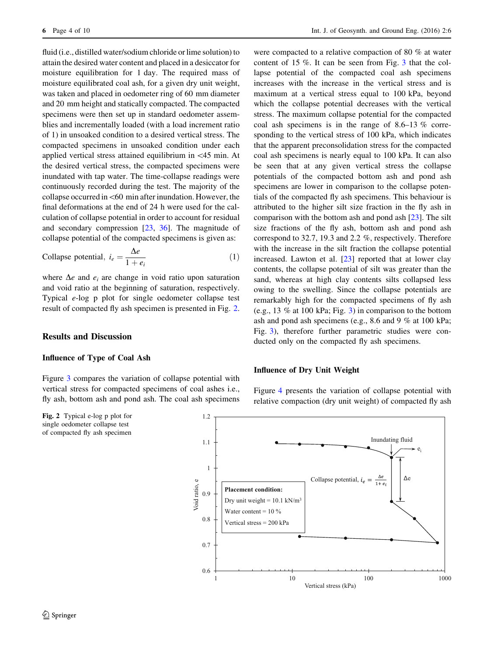fluid (i.e., distilled water/sodium chloride or lime solution) to attain the desired water content and placed in a desiccator for moisture equilibration for 1 day. The required mass of moisture equilibrated coal ash, for a given dry unit weight, was taken and placed in oedometer ring of 60 mm diameter and 20 mm height and statically compacted. The compacted specimens were then set up in standard oedometer assemblies and incrementally loaded (with a load increment ratio of 1) in unsoaked condition to a desired vertical stress. The compacted specimens in unsoaked condition under each applied vertical stress attained equilibrium in  $\langle 45 \rangle$  min. At the desired vertical stress, the compacted specimens were inundated with tap water. The time-collapse readings were continuously recorded during the test. The majority of the collapse occurred in  $<60$  min after inundation. However, the final deformations at the end of 24 h were used for the calculation of collapse potential in order to account for residual and secondary compression [[23,](#page-9-0) [36](#page-9-0)]. The magnitude of collapse potential of the compacted specimens is given as:

Collapse potential, 
$$
i_e = \frac{\Delta e}{1 + e_i}
$$
 (1)

where  $\Delta e$  and  $e_i$  are change in void ratio upon saturation and void ratio at the beginning of saturation, respectively. Typical e-log p plot for single oedometer collapse test result of compacted fly ash specimen is presented in Fig. 2.

# Results and Discussion

#### Influence of Type of Coal Ash

Figure [3](#page-4-0) compares the variation of collapse potential with vertical stress for compacted specimens of coal ashes i.e., fly ash, bottom ash and pond ash. The coal ash specimens

Fig. 2 Typical e-log p plot for single oedometer collapse test of compacted fly ash specimen

were compacted to a relative compaction of 80 % at water content of 15 %. It can be seen from Fig. [3](#page-4-0) that the collapse potential of the compacted coal ash specimens increases with the increase in the vertical stress and is maximum at a vertical stress equal to 100 kPa, beyond which the collapse potential decreases with the vertical stress. The maximum collapse potential for the compacted coal ash specimens is in the range of 8.6–13 % corresponding to the vertical stress of 100 kPa, which indicates that the apparent preconsolidation stress for the compacted coal ash specimens is nearly equal to 100 kPa. It can also be seen that at any given vertical stress the collapse potentials of the compacted bottom ash and pond ash specimens are lower in comparison to the collapse potentials of the compacted fly ash specimens. This behaviour is attributed to the higher silt size fraction in the fly ash in comparison with the bottom ash and pond ash [[23\]](#page-9-0). The silt size fractions of the fly ash, bottom ash and pond ash correspond to 32.7, 19.3 and 2.2 %, respectively. Therefore with the increase in the silt fraction the collapse potential increased. Lawton et al.  $[23]$  $[23]$  reported that at lower clay contents, the collapse potential of silt was greater than the sand, whereas at high clay contents silts collapsed less owing to the swelling. Since the collapse potentials are remarkably high for the compacted specimens of fly ash (e.g., 13 % at 100 kPa; Fig. [3](#page-4-0)) in comparison to the bottom ash and pond ash specimens (e.g., 8.6 and 9 % at 100 kPa; Fig. [3](#page-4-0)), therefore further parametric studies were conducted only on the compacted fly ash specimens.

# Influence of Dry Unit Weight

Figure [4](#page-4-0) presents the variation of collapse potential with relative compaction (dry unit weight) of compacted fly ash

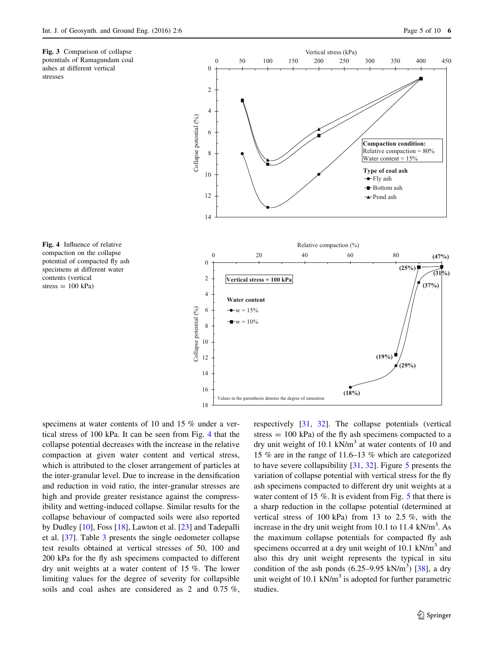<span id="page-4-0"></span>



Fig. 4 Influence of relative compaction on the collapse potential of compacted fly ash specimens at different water contents (vertical  $stress = 100 kPa$ 

specimens at water contents of 10 and 15 % under a vertical stress of 100 kPa. It can be seen from Fig. 4 that the collapse potential decreases with the increase in the relative compaction at given water content and vertical stress, which is attributed to the closer arrangement of particles at the inter-granular level. Due to increase in the densification and reduction in void ratio, the inter-granular stresses are high and provide greater resistance against the compressibility and wetting-induced collapse. Similar results for the collapse behaviour of compacted soils were also reported by Dudley [[10\]](#page-9-0), Foss [\[18](#page-9-0)], Lawton et al. [\[23](#page-9-0)] and Tadepalli et al. [\[37](#page-9-0)]. Table [3](#page-5-0) presents the single oedometer collapse test results obtained at vertical stresses of 50, 100 and 200 kPa for the fly ash specimens compacted to different dry unit weights at a water content of 15 %. The lower limiting values for the degree of severity for collapsible soils and coal ashes are considered as 2 and 0.75 %, respectively [\[31](#page-9-0), [32\]](#page-9-0). The collapse potentials (vertical stress  $= 100$  kPa) of the fly ash specimens compacted to a dry unit weight of 10.1 kN/m<sup>3</sup> at water contents of 10 and 15 % are in the range of 11.6–13 % which are categorized to have severe collapsibility [\[31](#page-9-0), [32\]](#page-9-0). Figure [5](#page-5-0) presents the variation of collapse potential with vertical stress for the fly ash specimens compacted to different dry unit weights at a water content of 1[5](#page-5-0) %. It is evident from Fig. 5 that there is a sharp reduction in the collapse potential (determined at vertical stress of 100 kPa) from 13 to 2.5 %, with the increase in the dry unit weight from 10.1 to 11.4  $kN/m<sup>3</sup>$ . As the maximum collapse potentials for compacted fly ash specimens occurred at a dry unit weight of 10.1 kN/m<sup>3</sup> and also this dry unit weight represents the typical in situ condition of the ash ponds  $(6.25-9.95 \text{ kN/m}^3)$  [\[38](#page-9-0)], a dry unit weight of 10.1  $kN/m<sup>3</sup>$  is adopted for further parametric studies.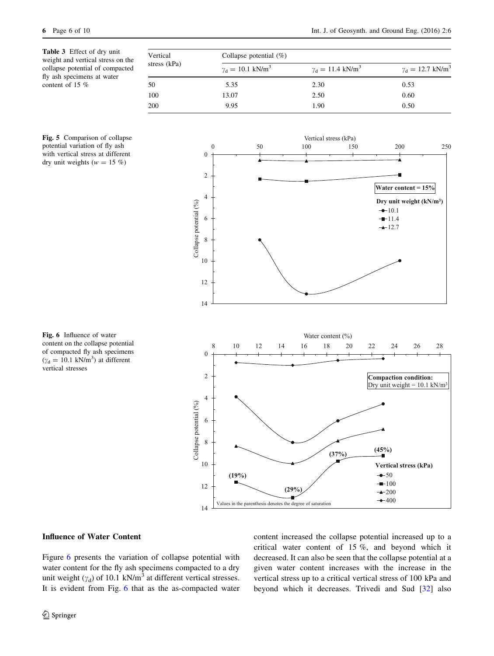<span id="page-5-0"></span>Table 3 Effect of dry unit weight and vertical stress on the collapse potential of compacted fly ash specimens at water content of 15 %

| Vertical     | Collapse potential $(\%)$              |                                        |                                        |  |  |
|--------------|----------------------------------------|----------------------------------------|----------------------------------------|--|--|
| stress (kPa) | $\gamma_{\rm d} = 10.1 \text{ kN/m}^3$ | $\gamma_{\rm d} = 11.4 \text{ kN/m}^3$ | $\gamma_{\rm d} = 12.7 \text{ kN/m}^3$ |  |  |
| 50           | 5.35                                   | 2.30                                   | 0.53                                   |  |  |
| 100          | 13.07                                  | 2.50                                   | 0.60                                   |  |  |
| 200          | 9.95                                   | 1.90                                   | 0.50                                   |  |  |

0 50 100 150 200 250

Vertical stress (kPa)





Fig. 6 Influence of water content on the collapse potential of compacted fly ash specimens  $(\gamma_d = 10.1 \text{ kN/m}^3)$  at different vertical stresses

# Influence of Water Content

Figure 6 presents the variation of collapse potential with water content for the fly ash specimens compacted to a dry unit weight ( $\gamma_d$ ) of 10.1 kN/m<sup>3</sup> at different vertical stresses. It is evident from Fig. 6 that as the as-compacted water content increased the collapse potential increased up to a critical water content of 15 %, and beyond which it decreased. It can also be seen that the collapse potential at a given water content increases with the increase in the vertical stress up to a critical vertical stress of 100 kPa and beyond which it decreases. Trivedi and Sud [\[32](#page-9-0)] also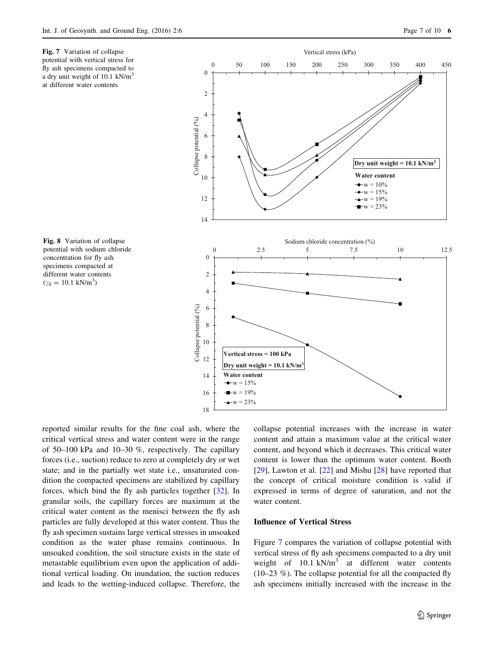<span id="page-6-0"></span>Fig. 7 Variation of collapse potential with vertical stress for fly ash specimens compacted to a dry unit weight of 10.1 kN/m<sup>3</sup> at different water contents

Fig. 8 Variation of collapse potential with sodium chloride concentration for fly ash specimens compacted at different water contents  $(\gamma_d = 10.1 \text{ kN/m}^3)$ 



reported similar results for the fine coal ash, where the critical vertical stress and water content were in the range of 50–100 kPa and 10–30 %, respectively. The capillary forces (i.e., suction) reduce to zero at completely dry or wet state; and in the partially wet state i.e., unsaturated condition the compacted specimens are stabilized by capillary forces, which bind the fly ash particles together [[32\]](#page-9-0). In granular soils, the capillary forces are maximum at the critical water content as the menisci between the fly ash particles are fully developed at this water content. Thus the fly ash specimen sustains large vertical stresses in unsoaked condition as the water phase remains continuous. In unsoaked condition, the soil structure exists in the state of metastable equilibrium even upon the application of additional vertical loading. On inundation, the suction reduces and leads to the wetting-induced collapse. Therefore, the collapse potential increases with the increase in water content and attain a maximum value at the critical water content, and beyond which it decreases. This critical water content is lower than the optimum water content. Booth [\[29](#page-9-0)], Lawton et al. [[22](#page-9-0)] and Mishu [\[28](#page-9-0)] have reported that the concept of critical moisture condition is valid if expressed in terms of degree of saturation, and not the water content.

#### Influence of Vertical Stress

Figure 7 compares the variation of collapse potential with vertical stress of fly ash specimens compacted to a dry unit weight of  $10.1 \text{ kN/m}^3$  at different water contents (10–23 %). The collapse potential for all the compacted fly ash specimens initially increased with the increase in the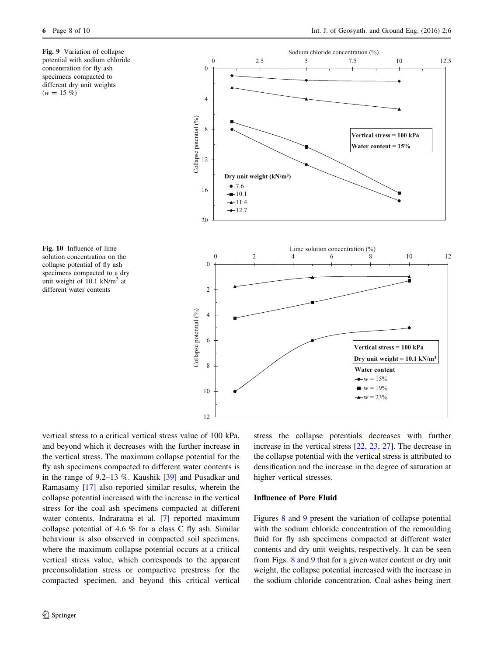<span id="page-7-0"></span>Fig. 9 Variation of collapse potential with sodium chloride concentration for fly ash specimens compacted to different dry unit weights  $(w = 15 \%)$ 

Fig. 10 Influence of lime solution concentration on the collapse potential of fly ash specimens compacted to a dry unit weight of  $10.1$  kN/m<sup>3</sup> at different water contents



vertical stress to a critical vertical stress value of 100 kPa, and beyond which it decreases with the further increase in the vertical stress. The maximum collapse potential for the fly ash specimens compacted to different water contents is in the range of 9.2–13 %. Kaushik [\[39](#page-9-0)] and Pusadkar and Ramasamy [[17\]](#page-9-0) also reported similar results, wherein the collapse potential increased with the increase in the vertical stress for the coal ash specimens compacted at different water contents. Indraratna et al. [\[7](#page-9-0)] reported maximum collapse potential of 4.6 % for a class C fly ash. Similar behaviour is also observed in compacted soil specimens, where the maximum collapse potential occurs at a critical vertical stress value, which corresponds to the apparent preconsolidation stress or compactive prestress for the compacted specimen, and beyond this critical vertical stress the collapse potentials decreases with further increase in the vertical stress [\[22](#page-9-0), [23,](#page-9-0) [27](#page-9-0)]. The decrease in the collapse potential with the vertical stress is attributed to densification and the increase in the degree of saturation at higher vertical stresses.

#### Influence of Pore Fluid

Figures [8](#page-6-0) and 9 present the variation of collapse potential with the sodium chloride concentration of the remoulding fluid for fly ash specimens compacted at different water contents and dry unit weights, respectively. It can be seen from Figs. [8](#page-6-0) and 9 that for a given water content or dry unit weight, the collapse potential increased with the increase in the sodium chloride concentration. Coal ashes being inert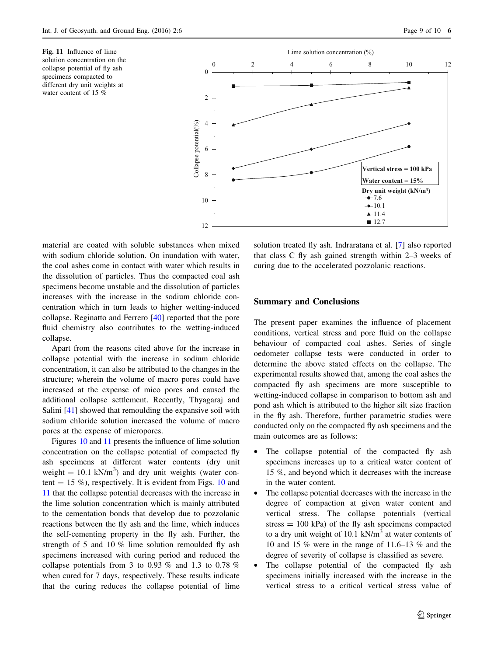Fig. 11 Influence of lime solution concentration on the collapse potential of fly ash specimens compacted to different dry unit weights at water content of 15 %



material are coated with soluble substances when mixed with sodium chloride solution. On inundation with water, the coal ashes come in contact with water which results in the dissolution of particles. Thus the compacted coal ash specimens become unstable and the dissolution of particles increases with the increase in the sodium chloride concentration which in turn leads to higher wetting-induced collapse. Reginatto and Ferrero [[40\]](#page-9-0) reported that the pore fluid chemistry also contributes to the wetting-induced collapse.

Apart from the reasons cited above for the increase in collapse potential with the increase in sodium chloride concentration, it can also be attributed to the changes in the structure; wherein the volume of macro pores could have increased at the expense of mico pores and caused the additional collapse settlement. Recently, Thyagaraj and Salini [[41](#page-9-0)] showed that remoulding the expansive soil with sodium chloride solution increased the volume of macro pores at the expense of micropores.

Figures [10](#page-7-0) and 11 presents the influence of lime solution concentration on the collapse potential of compacted fly ash specimens at different water contents (dry unit weight =  $10.1$  kN/m<sup>3</sup>) and dry unit weights (water content  $= 15 \%$ ), respectively. It is evident from Figs. [10](#page-7-0) and 11 that the collapse potential decreases with the increase in the lime solution concentration which is mainly attributed to the cementation bonds that develop due to pozzolanic reactions between the fly ash and the lime, which induces the self-cementing property in the fly ash. Further, the strength of 5 and 10 % lime solution remoulded fly ash specimens increased with curing period and reduced the collapse potentials from 3 to 0.93 % and 1.3 to 0.78 % when cured for 7 days, respectively. These results indicate that the curing reduces the collapse potential of lime solution treated fly ash. Indraratana et al. [\[7](#page-9-0)] also reported that class C fly ash gained strength within 2–3 weeks of curing due to the accelerated pozzolanic reactions.

#### Summary and Conclusions

The present paper examines the influence of placement conditions, vertical stress and pore fluid on the collapse behaviour of compacted coal ashes. Series of single oedometer collapse tests were conducted in order to determine the above stated effects on the collapse. The experimental results showed that, among the coal ashes the compacted fly ash specimens are more susceptible to wetting-induced collapse in comparison to bottom ash and pond ash which is attributed to the higher silt size fraction in the fly ash. Therefore, further parametric studies were conducted only on the compacted fly ash specimens and the main outcomes are as follows:

- The collapse potential of the compacted fly ash specimens increases up to a critical water content of 15 %, and beyond which it decreases with the increase in the water content.
- The collapse potential decreases with the increase in the degree of compaction at given water content and vertical stress. The collapse potentials (vertical stress  $= 100$  kPa) of the fly ash specimens compacted to a dry unit weight of  $10.1 \text{ kN/m}^3$  at water contents of 10 and 15 % were in the range of 11.6–13 % and the degree of severity of collapse is classified as severe.
- The collapse potential of the compacted fly ash specimens initially increased with the increase in the vertical stress to a critical vertical stress value of